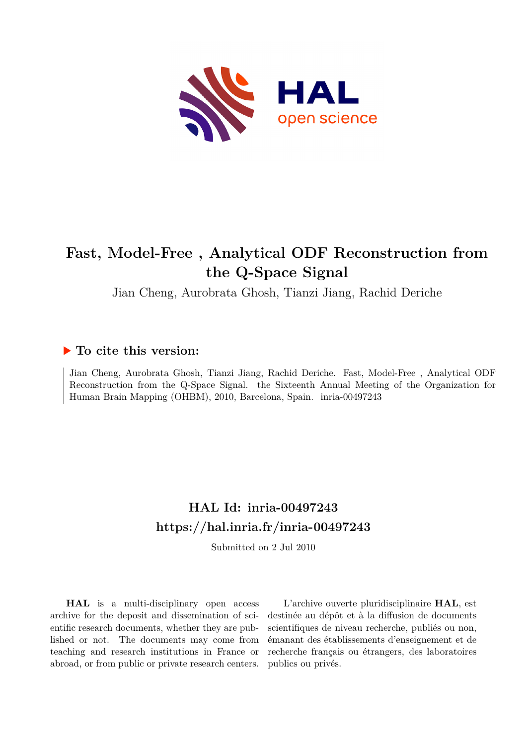

# **Fast, Model-Free , Analytical ODF Reconstruction from the Q-Space Signal**

Jian Cheng, Aurobrata Ghosh, Tianzi Jiang, Rachid Deriche

## **To cite this version:**

Jian Cheng, Aurobrata Ghosh, Tianzi Jiang, Rachid Deriche. Fast, Model-Free , Analytical ODF Reconstruction from the Q-Space Signal. the Sixteenth Annual Meeting of the Organization for Human Brain Mapping (OHBM), 2010, Barcelona, Spain. inria-00497243

## **HAL Id: inria-00497243 <https://hal.inria.fr/inria-00497243>**

Submitted on 2 Jul 2010

**HAL** is a multi-disciplinary open access archive for the deposit and dissemination of scientific research documents, whether they are published or not. The documents may come from teaching and research institutions in France or abroad, or from public or private research centers.

L'archive ouverte pluridisciplinaire **HAL**, est destinée au dépôt et à la diffusion de documents scientifiques de niveau recherche, publiés ou non, émanant des établissements d'enseignement et de recherche français ou étrangers, des laboratoires publics ou privés.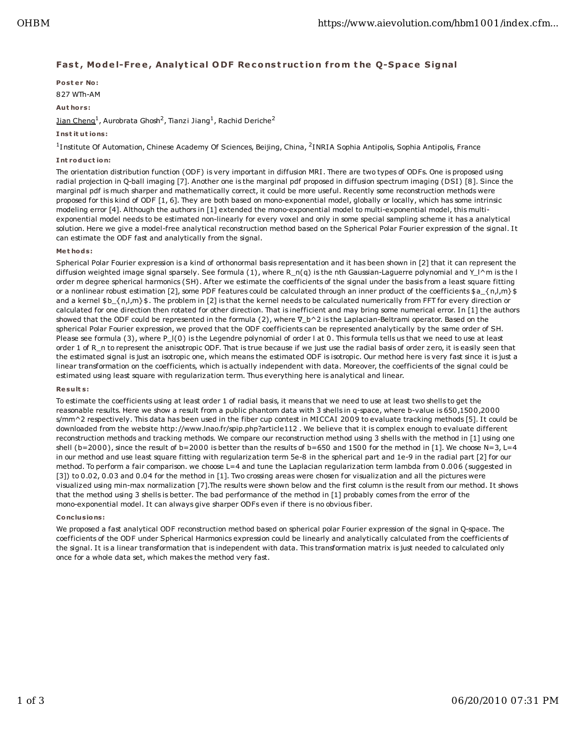### **Fas t , Mo de l-Fre e , Analyt ic al O DF Re c o ns t ruc t io n f rom t he Q-Spac e S ig nal**

**Po st e r No :** 827 WTh-AM

**Aut hors :**

Jian Cheng<sup>1</sup>, Aurobrata Ghosh<sup>2</sup>, Tianzi Jiang<sup>1</sup>, Rachid Deriche<sup>2</sup>

#### **I nst it ut io ns :**

<sup>1</sup>Institute Of Automation, Chinese Academy Of Sciences, Beijing, China, <sup>2</sup>INRIA Sophia Antipolis, Sophia Antipolis, France

#### **I nt roduct io n:**

The orientation distribution function (ODF) is very important in diffusion MRI . There are two types of ODFs. One is proposed using radial projection in Q-ball imaging [7]. Another one is the marginal pdf proposed in diffusion spectrum imaging (DSI) [8]. Since the marginal pdf is much sharper and mathematically correct, it could be more useful. Recently some reconstruction methods were proposed for this kind of ODF [1, 6]. They are both based on mono-exponential model, globally or locally, which has some intrinsic modeling error [4]. Although the authors in [1] extended the mono-exponential model to multi-exponential model, this multiexponential model needs to be estimated non-linearly for every voxel and only in some special sampling scheme it has a analytical solution. Here we give a model-free analytical reconstruction method based on the Spherical Polar Fourier expression of the signal. It can estimate the ODF fast and analytically from the signal.

#### **Me t hods :**

Spherical Polar Fourier expression is a kind of orthonormal basis representation and it has been shown in [2] that it can represent the diffusion weighted image signal sparsely. See formula (1), where R\_n(q) is the nth Gaussian-Laguerre polynomial and Y\_l^m is the l order m degree spherical harmonics (SH). After we estimate the coefficients of the signal under the basis from a least square fitting or a nonlinear robust estimation [2], some PDF features could be calculated through an inner product of the coefficients \$a\_{n,l,m}\$ and a kernel \$b\_{n,l,m}\$. The problem in [2] is that the kernel needs to be calculated numerically from FFT for every direction or calculated for one direction then rotated for other direction. That is inefficient and may bring some numerical error. In [1] the authors showed that the ODF could be represented in the formula (2), where ∇\_b^2 is the Laplacian-Beltrami operator. Based on the spherical Polar Fourier expression, we proved that the ODF coefficients can be represented analytically by the same order of SH. Please see formula (3), where P\_l(0) is the Legendre polynomial of order l at 0. This formula tells us that we need to use at least order 1 of R\_n to represent the anisotropic ODF. That is true because if we just use the radial basis of order zero, it is easily seen that the estimated signal is just an isotropic one, which means the estimated ODF is isotropic. Our method here is very fast since it is just a linear transformation on the coefficients, which is actually independent with data. Moreover, the coefficients of the signal could be estimated using least square with regularization term. Thus everything here is analytical and linear.

#### **Re su lt s :**

To estimate the coefficients using at least order 1 of radial basis, it means that we need to use at least two shells to get the reasonable results. Here we show a result from a public phantom data with 3 shells in q-space, where b-value is 650 ,1500 ,2000 s/mm^2 respectively. This data has been used in the fiber cup contest in MICCAI 2009 to evaluate tracking methods [5]. I t could be downloaded from the website http://www.lnao.fr/spip.php?article112 . We believe that it is complex enough to evaluate different reconstruction methods and tracking methods. We compare our reconstruction method using 3 shells with the method in [1] using one shell (b=2000), since the result of b=2000 is better than the results of b=650 and 1500 for the method in [1]. We choose  $N=3$ , L=4 in our method and use least square fitting with regularization term 5e-8 in the spherical part and 1e-9 in the radial part [2] for our method. To perform a fair comparison. we choose L=4 and tune the Laplacian regularization term lambda from 0.006 (suggested in [3]) to 0.02, 0.03 and 0.04 for the method in [1]. Two crossing areas were chosen for visualization and all the pictures were visualized using min-max normalization [7].The results were shown below and the first column is the result from our method. It shows that the method using 3 shells is better. The bad performance of the method in [1] probably comes from the error of the mono-exponential model. It can always give sharper ODFs even if there is no obvious fiber.

#### **Co nc lus io ns :**

We proposed a fast analytical ODF reconstruction method based on spherical polar Fourier expression of the signal in Q-space. The coefficients of the ODF under Spherical Harmonics expression could be linearly and analytically calculated from the coefficients of the signal. It is a linear transformation that is independent with data. This transformation matrix is just needed to calculated only once for a whole data set, which makes the method very fast.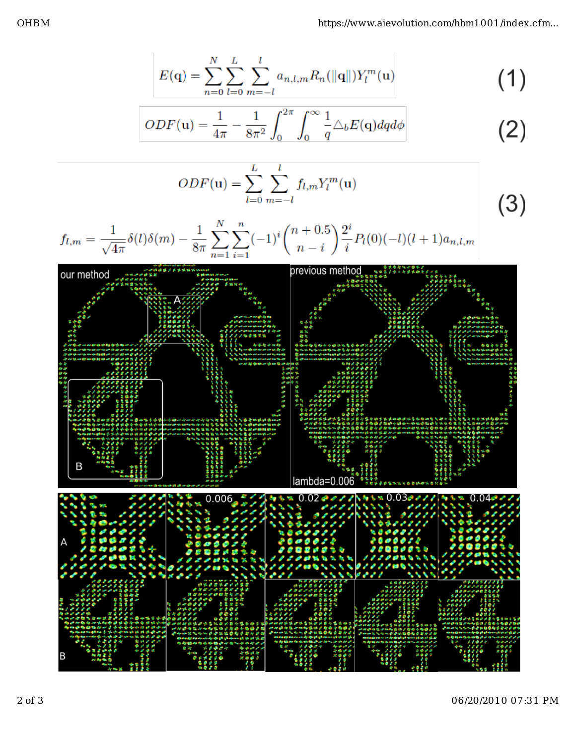$$
E(\mathbf{q}) = \sum_{n=0}^{N} \sum_{l=0}^{L} \sum_{m=-l}^{l} a_{n,l,m} R_n(||\mathbf{q}||) Y_l^m(\mathbf{u})
$$
 (1)

$$
ODF(\mathbf{u}) = \frac{1}{4\pi} - \frac{1}{8\pi^2} \int_0^{2\pi} \int_0^{\infty} \frac{1}{q} \triangle_b E(\mathbf{q}) dq d\phi
$$
 (2)

$$
ODF(\mathbf{u}) = \sum_{l=0}^{L} \sum_{m=-l}^{l} f_{l,m} Y_l^m(\mathbf{u})
$$

$$
f_{l,m} = \frac{1}{\sqrt{4\pi}} \delta(l)\delta(m) - \frac{1}{8\pi} \sum_{n=1}^{N} \sum_{i=1}^{n} (-1)^{i} {n+0.5 \choose n-i} \frac{2^{i}}{i} P_{l}(0)(-l)(l+1)a_{n,l,m}
$$



 $(3)$